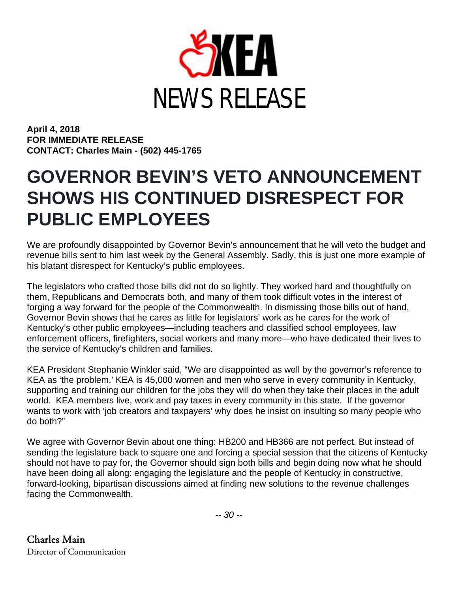

**April 4, 2018 FOR IMMEDIATE RELEASE CONTACT: Charles Main - (502) 445-1765**

## **GOVERNOR BEVIN'S VETO ANNOUNCEMENT SHOWS HIS CONTINUED DISRESPECT FOR PUBLIC EMPLOYEES**

We are profoundly disappointed by Governor Bevin's announcement that he will veto the budget and revenue bills sent to him last week by the General Assembly. Sadly, this is just one more example of his blatant disrespect for Kentucky's public employees.

The legislators who crafted those bills did not do so lightly. They worked hard and thoughtfully on them, Republicans and Democrats both, and many of them took difficult votes in the interest of forging a way forward for the people of the Commonwealth. In dismissing those bills out of hand, Governor Bevin shows that he cares as little for legislators' work as he cares for the work of Kentucky's other public employees—including teachers and classified school employees, law enforcement officers, firefighters, social workers and many more—who have dedicated their lives to the service of Kentucky's children and families.

KEA President Stephanie Winkler said, "We are disappointed as well by the governor's reference to KEA as 'the problem.' KEA is 45,000 women and men who serve in every community in Kentucky, supporting and training our children for the jobs they will do when they take their places in the adult world. KEA members live, work and pay taxes in every community in this state. If the governor wants to work with 'job creators and taxpayers' why does he insist on insulting so many people who do both?"

We agree with Governor Bevin about one thing: HB200 and HB366 are not perfect. But instead of sending the legislature back to square one and forcing a special session that the citizens of Kentucky should not have to pay for, the Governor should sign both bills and begin doing now what he should have been doing all along: engaging the legislature and the people of Kentucky in constructive, forward-looking, bipartisan discussions aimed at finding new solutions to the revenue challenges facing the Commonwealth.